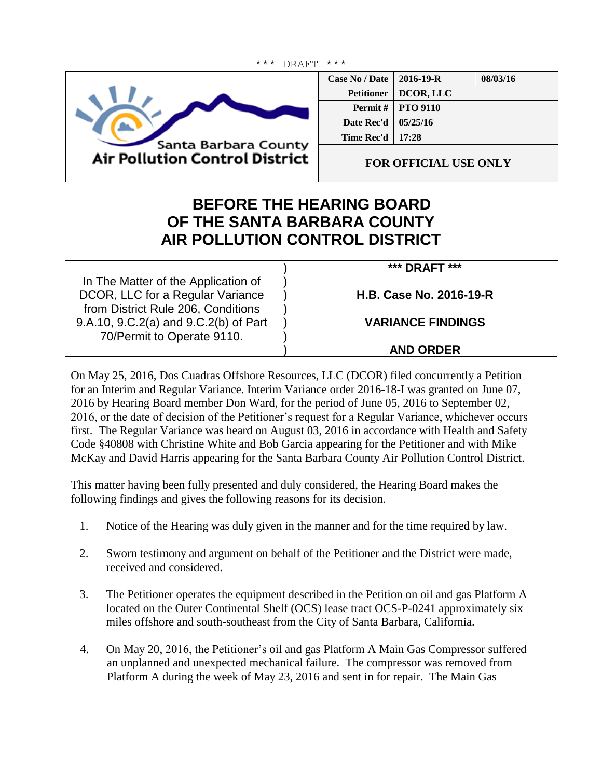

| Case No / Date $\parallel$ | $2016 - 19 - R$            | 08/03/16 |
|----------------------------|----------------------------|----------|
|                            | Petitioner   DCOR, LLC     |          |
|                            | <b>Permit #   PTO 9110</b> |          |
| Date Rec'd                 | 05/25/16                   |          |
| <b>Time Rec'd   17:28</b>  |                            |          |
|                            |                            |          |

**FOR OFFICIAL USE ONLY**

## **BEFORE THE HEARING BOARD OF THE SANTA BARBARA COUNTY AIR POLLUTION CONTROL DISTRICT**

) ) ) ) ) ) )

In The Matter of the Application of DCOR, LLC for a Regular Variance from District Rule 206, Conditions 9.A.10, 9.C.2(a) and 9.C.2(b) of Part 70/Permit to Operate 9110.

**\*\*\* DRAFT \*\*\***

**H.B. Case No. 2016-19-R**

**VARIANCE FINDINGS**

## **AND ORDER**

On May 25, 2016, Dos Cuadras Offshore Resources, LLC (DCOR) filed concurrently a Petition for an Interim and Regular Variance. Interim Variance order 2016-18-I was granted on June 07, 2016 by Hearing Board member Don Ward, for the period of June 05, 2016 to September 02, 2016, or the date of decision of the Petitioner's request for a Regular Variance, whichever occurs first. The Regular Variance was heard on August 03, 2016 in accordance with Health and Safety Code §40808 with Christine White and Bob Garcia appearing for the Petitioner and with Mike McKay and David Harris appearing for the Santa Barbara County Air Pollution Control District.

This matter having been fully presented and duly considered, the Hearing Board makes the following findings and gives the following reasons for its decision.

- 1. Notice of the Hearing was duly given in the manner and for the time required by law.
- 2. Sworn testimony and argument on behalf of the Petitioner and the District were made, received and considered.
- 3. The Petitioner operates the equipment described in the Petition on oil and gas Platform A located on the Outer Continental Shelf (OCS) lease tract OCS-P-0241 approximately six miles offshore and south-southeast from the City of Santa Barbara, California.
- 4. On May 20, 2016, the Petitioner's oil and gas Platform A Main Gas Compressor suffered an unplanned and unexpected mechanical failure. The compressor was removed from Platform A during the week of May 23, 2016 and sent in for repair. The Main Gas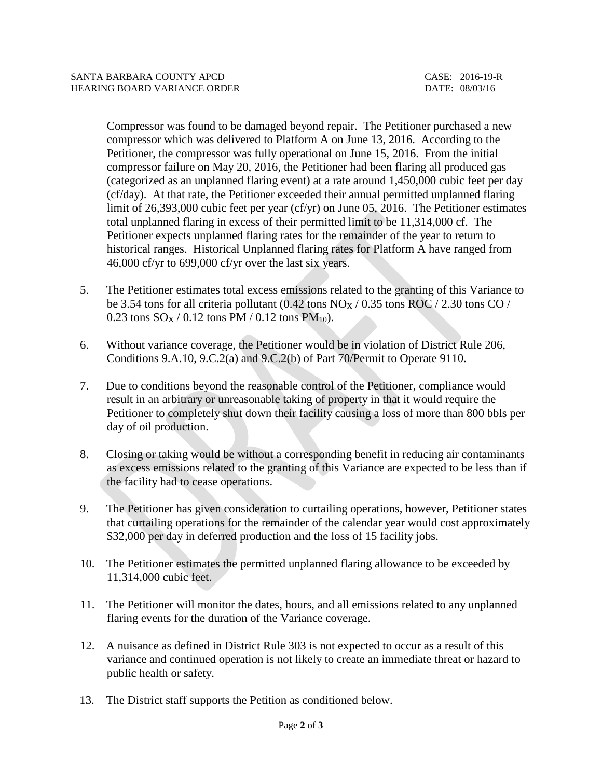| SANTA BARBARA COUNTY APCD           | CASE: 2016-19-R |
|-------------------------------------|-----------------|
| <b>HEARING BOARD VARIANCE ORDER</b> | DATE: 08/03/16  |

Compressor was found to be damaged beyond repair. The Petitioner purchased a new compressor which was delivered to Platform A on June 13, 2016. According to the Petitioner, the compressor was fully operational on June 15, 2016. From the initial compressor failure on May 20, 2016, the Petitioner had been flaring all produced gas (categorized as an unplanned flaring event) at a rate around 1,450,000 cubic feet per day (cf/day). At that rate, the Petitioner exceeded their annual permitted unplanned flaring limit of 26,393,000 cubic feet per year (cf/yr) on June 05, 2016. The Petitioner estimates total unplanned flaring in excess of their permitted limit to be 11,314,000 cf. The Petitioner expects unplanned flaring rates for the remainder of the year to return to historical ranges. Historical Unplanned flaring rates for Platform A have ranged from 46,000 cf/yr to 699,000 cf/yr over the last six years.

- 5. The Petitioner estimates total excess emissions related to the granting of this Variance to be 3.54 tons for all criteria pollutant  $(0.42 \text{ tons NOX} / 0.35 \text{ tons ROC} / 2.30 \text{ tons CO} / 1.50 \text{ tons} / 1.50 \text{ tons} / 1.50 \text{ tons} / 1.50 \text{ tons} / 1.50 \text{ tons} / 1.50 \text{ tons} / 1.50 \text{ tons} / 1.50 \text{ tons} / 1.50 \text{ tons} / 1.50 \text{ tons} / 1.50 \text{ tons} / 1.50 \text{ tons} / 1.50 \text{ tons}$ 0.23 tons  $SO_X / 0.12$  tons PM / 0.12 tons PM<sub>10</sub>).
- 6. Without variance coverage, the Petitioner would be in violation of District Rule 206, Conditions 9.A.10, 9.C.2(a) and 9.C.2(b) of Part 70/Permit to Operate 9110.
- 7. Due to conditions beyond the reasonable control of the Petitioner, compliance would result in an arbitrary or unreasonable taking of property in that it would require the Petitioner to completely shut down their facility causing a loss of more than 800 bbls per day of oil production.
- 8. Closing or taking would be without a corresponding benefit in reducing air contaminants as excess emissions related to the granting of this Variance are expected to be less than if the facility had to cease operations.
- 9. The Petitioner has given consideration to curtailing operations, however, Petitioner states that curtailing operations for the remainder of the calendar year would cost approximately \$32,000 per day in deferred production and the loss of 15 facility jobs.
- 10. The Petitioner estimates the permitted unplanned flaring allowance to be exceeded by 11,314,000 cubic feet.
- 11. The Petitioner will monitor the dates, hours, and all emissions related to any unplanned flaring events for the duration of the Variance coverage.
- 12. A nuisance as defined in District Rule 303 is not expected to occur as a result of this variance and continued operation is not likely to create an immediate threat or hazard to public health or safety.
- 13. The District staff supports the Petition as conditioned below.